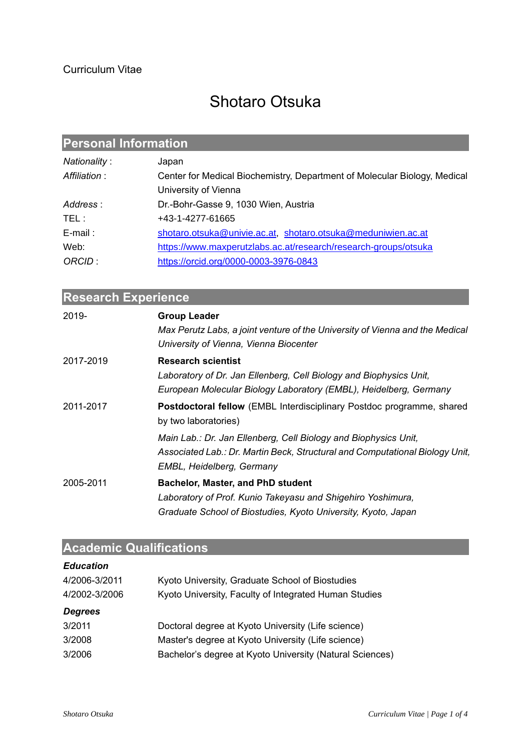# Shotaro Otsuka

## **Personal Information**

| Nationality:  | Japan                                                                     |
|---------------|---------------------------------------------------------------------------|
| Affiliation : | Center for Medical Biochemistry, Department of Molecular Biology, Medical |
|               | University of Vienna                                                      |
| Address:      | Dr.-Bohr-Gasse 9, 1030 Wien, Austria                                      |
| TEL :         | +43-1-4277-61665                                                          |
| $E$ -mail:    | shotaro.otsuka@univie.ac.at, shotaro.otsuka@meduniwien.ac.at              |
| Web:          | https://www.maxperutzlabs.ac.at/research/research-groups/otsuka           |
| ORCID:        | https://orcid.org/0000-0003-3976-0843                                     |

| <b>Research Experience</b> |                                                                                                                                                                              |
|----------------------------|------------------------------------------------------------------------------------------------------------------------------------------------------------------------------|
| 2019-                      | <b>Group Leader</b><br>Max Perutz Labs, a joint venture of the University of Vienna and the Medical                                                                          |
|                            | University of Vienna, Vienna Biocenter                                                                                                                                       |
| 2017-2019                  | <b>Research scientist</b><br>Laboratory of Dr. Jan Ellenberg, Cell Biology and Biophysics Unit,<br>European Molecular Biology Laboratory (EMBL), Heidelberg, Germany         |
| 2011-2017                  | <b>Postdoctoral fellow</b> (EMBL Interdisciplinary Postdoc programme, shared<br>by two laboratories)                                                                         |
|                            | Main Lab.: Dr. Jan Ellenberg, Cell Biology and Biophysics Unit,<br>Associated Lab.: Dr. Martin Beck, Structural and Computational Biology Unit,<br>EMBL, Heidelberg, Germany |
| 2005-2011                  | <b>Bachelor, Master, and PhD student</b><br>Laboratory of Prof. Kunio Takeyasu and Shigehiro Yoshimura,<br>Graduate School of Biostudies, Kyoto University, Kyoto, Japan     |

## **Academic Qualifications**

| <b>Education</b> |                                                          |
|------------------|----------------------------------------------------------|
| 4/2006-3/2011    | Kyoto University, Graduate School of Biostudies          |
| 4/2002-3/2006    | Kyoto University, Faculty of Integrated Human Studies    |
| <b>Degrees</b>   |                                                          |
| 3/2011           | Doctoral degree at Kyoto University (Life science)       |
| 3/2008           | Master's degree at Kyoto University (Life science)       |
| 3/2006           | Bachelor's degree at Kyoto University (Natural Sciences) |
|                  |                                                          |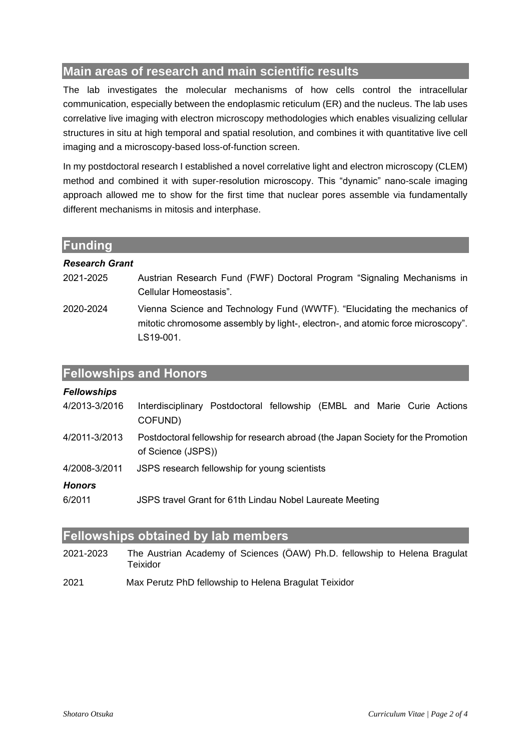## **Main areas of research and main scientific results**

The lab investigates the molecular mechanisms of how cells control the intracellular communication, especially between the endoplasmic reticulum (ER) and the nucleus. The lab uses correlative live imaging with electron microscopy methodologies which enables visualizing cellular structures in situ at high temporal and spatial resolution, and combines it with quantitative live cell imaging and a microscopy-based loss-of-function screen.

In my postdoctoral research I established a novel correlative light and electron microscopy (CLEM) method and combined it with super-resolution microscopy. This "dynamic" nano-scale imaging approach allowed me to show for the first time that nuclear pores assemble via fundamentally different mechanisms in mitosis and interphase.

| Funding               |                                                                                                                                                                          |
|-----------------------|--------------------------------------------------------------------------------------------------------------------------------------------------------------------------|
| <b>Research Grant</b> |                                                                                                                                                                          |
| 2021-2025             | Austrian Research Fund (FWF) Doctoral Program "Signaling Mechanisms in<br>Cellular Homeostasis".                                                                         |
| 2020-2024             | Vienna Science and Technology Fund (WWTF). "Elucidating the mechanics of<br>mitotic chromosome assembly by light-, electron-, and atomic force microscopy".<br>LS19-001. |

| <b>Fellowships</b> |                                                                                    |
|--------------------|------------------------------------------------------------------------------------|
| 4/2013-3/2016      | Interdisciplinary Postdoctoral fellowship (EMBL and Marie Curie Actions<br>COFUND) |
| 4/2011-3/2013      | Postdoctoral fellowship for research abroad (the Japan Society for the Promotion   |
|                    | of Science (JSPS))                                                                 |
| 4/2008-3/2011      | JSPS research fellowship for young scientists                                      |
| <b>Honors</b>      |                                                                                    |
| 6/2011             | JSPS travel Grant for 61th Lindau Nobel Laureate Meeting                           |

## **Fellowships obtained by lab members**

**Fellowships and Honors**

- 2021-2023 The Austrian Academy of Sciences (ÖAW) Ph.D. fellowship to Helena Bragulat Teixidor
- 2021 Max Perutz PhD fellowship to Helena Bragulat Teixidor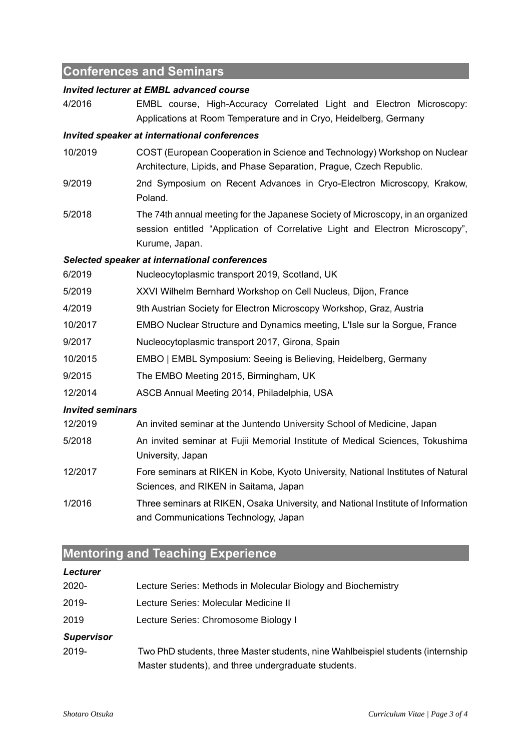## **Conferences and Seminars**

### *Invited lecturer at EMBL advanced course*

4/2016 EMBL course, High-Accuracy Correlated Light and Electron Microscopy: Applications at Room Temperature and in Cryo, Heidelberg, Germany

### *Invited speaker at international conferences*

- 10/2019 COST (European Cooperation in Science and Technology) Workshop on Nuclear Architecture, Lipids, and Phase Separation, Prague, Czech Republic.
- 9/2019 2nd Symposium on Recent Advances in Cryo-Electron Microscopy, Krakow, Poland.
- 5/2018 The 74th annual meeting for the Japanese Society of Microscopy, in an organized session entitled "Application of Correlative Light and Electron Microscopy", Kurume, Japan.

### *Selected speaker at international conferences*

6/2019 Nucleocytoplasmic transport 2019, Scotland, UK 5/2019 XXVI Wilhelm Bernhard Workshop on Cell Nucleus, Dijon, France 4/2019 9th Austrian Society for Electron Microscopy Workshop, Graz, Austria 10/2017 EMBO Nuclear Structure and Dynamics meeting, L'Isle sur la Sorgue, France 9/2017 Nucleocytoplasmic transport 2017, Girona, Spain 10/2015 EMBO | EMBL Symposium: Seeing is Believing, Heidelberg, Germany 9/2015 The EMBO Meeting 2015, Birmingham, UK 12/2014 ASCB Annual Meeting 2014, Philadelphia, USA *Invited seminars* 12/2019 An invited seminar at the Juntendo University School of Medicine, Japan

- 5/2018 An invited seminar at Fujii Memorial Institute of Medical Sciences, Tokushima University, Japan
- 12/2017 Fore seminars at RIKEN in Kobe, Kyoto University, National Institutes of Natural Sciences, and RIKEN in Saitama, Japan
- 1/2016 Three seminars at RIKEN, Osaka University, and National Institute of Information and Communications Technology, Japan

## **Mentoring and Teaching Experience**

### *Lecturer*

| 2020-             | Lecture Series: Methods in Molecular Biology and Biochemistry                   |
|-------------------|---------------------------------------------------------------------------------|
| 2019-             | Lecture Series: Molecular Medicine II                                           |
| 2019              | Lecture Series: Chromosome Biology I                                            |
| <b>Supervisor</b> |                                                                                 |
| 2019-             | Two PhD students, three Master students, nine Wahlbeispiel students (internship |
|                   | Master students), and three undergraduate students.                             |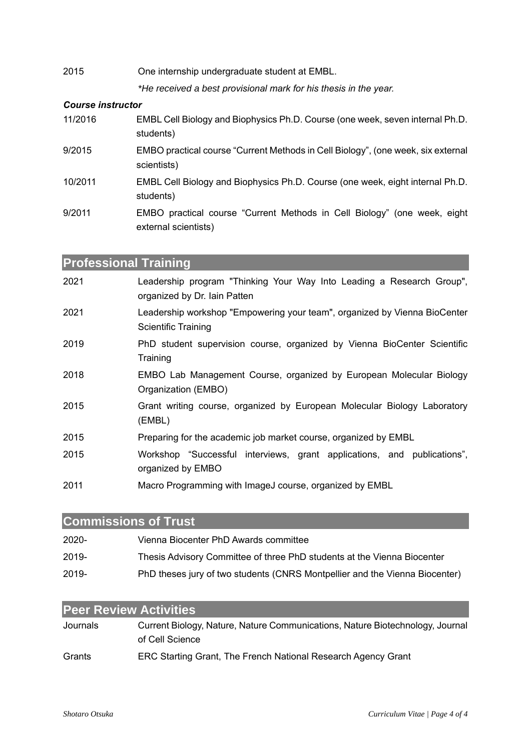| 2015 | One internship undergraduate student at EMBL.                    |
|------|------------------------------------------------------------------|
|      | *He received a best provisional mark for his thesis in the year. |

## *Course instructor*

| 11/2016 | EMBL Cell Biology and Biophysics Ph.D. Course (one week, seven internal Ph.D.<br>students)       |
|---------|--------------------------------------------------------------------------------------------------|
| 9/2015  | EMBO practical course "Current Methods in Cell Biology", (one week, six external<br>scientists)  |
| 10/2011 | EMBL Cell Biology and Biophysics Ph.D. Course (one week, eight internal Ph.D.<br>students)       |
| 9/2011  | EMBO practical course "Current Methods in Cell Biology" (one week, eight<br>external scientists) |

**Professional Training**

| 2021 | Leadership program "Thinking Your Way Into Leading a Research Group",<br>organized by Dr. Iain Patten   |
|------|---------------------------------------------------------------------------------------------------------|
| 2021 | Leadership workshop "Empowering your team", organized by Vienna BioCenter<br><b>Scientific Training</b> |
| 2019 | PhD student supervision course, organized by Vienna BioCenter Scientific<br>Training                    |
| 2018 | EMBO Lab Management Course, organized by European Molecular Biology<br>Organization (EMBO)              |
| 2015 | Grant writing course, organized by European Molecular Biology Laboratory<br>(EMBL)                      |
| 2015 | Preparing for the academic job market course, organized by EMBL                                         |
| 2015 | Workshop "Successful interviews, grant applications, and publications",<br>organized by EMBO            |
| 2011 | Macro Programming with ImageJ course, organized by EMBL                                                 |

## **Commissions of Trust**

| $2020 -$ | Vienna Biocenter PhD Awards committee                                       |
|----------|-----------------------------------------------------------------------------|
| $2019 -$ | Thesis Advisory Committee of three PhD students at the Vienna Biocenter     |
| $2019 -$ | PhD theses jury of two students (CNRS Montpellier and the Vienna Biocenter) |

| <b>Peer Review Activities</b> |                                                                                                  |
|-------------------------------|--------------------------------------------------------------------------------------------------|
| Journals                      | Current Biology, Nature, Nature Communications, Nature Biotechnology, Journal<br>of Cell Science |
| Grants                        | ERC Starting Grant, The French National Research Agency Grant                                    |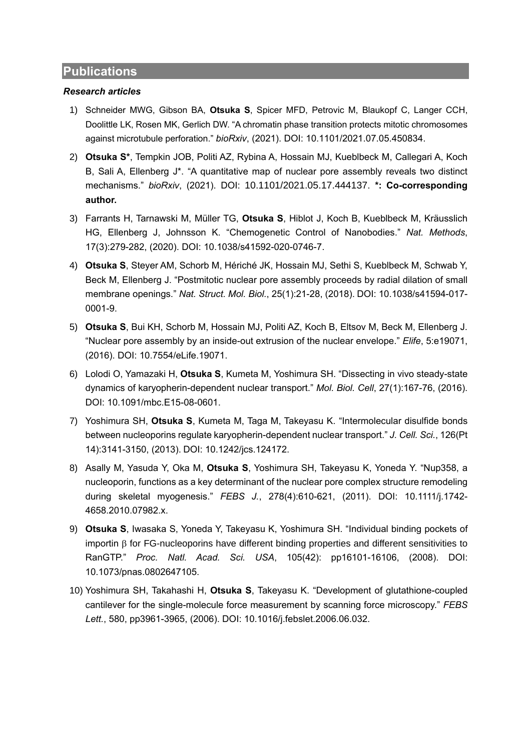## **Publications**

### *Research articles*

- 1) Schneider MWG, Gibson BA, **Otsuka S**, Spicer MFD, Petrovic M, Blaukopf C, Langer CCH, Doolittle LK, Rosen MK, Gerlich DW. "A chromatin phase transition protects mitotic chromosomes against microtubule perforation." *bioRxiv*, (2021). DOI: 10.1101/2021.07.05.450834.
- 2) **Otsuka S\***, Tempkin JOB, Politi AZ, Rybina A, Hossain MJ, Kueblbeck M, Callegari A, Koch B, Sali A, Ellenberg J\*. "A quantitative map of nuclear pore assembly reveals two distinct mechanisms." *bioRxiv*, (2021). DOI: 10.1101/2021.05.17.444137. **\*: Co-corresponding author.**
- 3) Farrants H, Tarnawski M, Müller TG, **Otsuka S**, Hiblot J, Koch B, Kueblbeck M, Kräusslich HG, Ellenberg J, Johnsson K. "Chemogenetic Control of Nanobodies." *Nat. Methods*, 17(3):279-282, (2020). DOI: 10.1038/s41592-020-0746-7.
- 4) **Otsuka S**, Steyer AM, Schorb M, Hériché JK, Hossain MJ, Sethi S, Kueblbeck M, Schwab Y, Beck M, Ellenberg J. "Postmitotic nuclear pore assembly proceeds by radial dilation of small membrane openings." *Nat. Struct. Mol. Biol.*, 25(1):21-28, (2018). DOI: 10.1038/s41594-017- 0001-9.
- 5) **Otsuka S**, Bui KH, Schorb M, Hossain MJ, Politi AZ, Koch B, Eltsov M, Beck M, Ellenberg J. "Nuclear pore assembly by an inside-out extrusion of the nuclear envelope." *Elife*, 5:e19071, (2016). DOI: 10.7554/eLife.19071.
- 6) Lolodi O, Yamazaki H, **Otsuka S**, Kumeta M, Yoshimura SH. "Dissecting in vivo steady-state dynamics of karyopherin-dependent nuclear transport." *Mol. Biol. Cell*, 27(1):167-76, (2016). DOI: 10.1091/mbc.E15-08-0601.
- 7) Yoshimura SH, **Otsuka S**, Kumeta M, Taga M, Takeyasu K. "Intermolecular disulfide bonds between nucleoporins regulate karyopherin-dependent nuclear transport." *J. Cell. Sci.*, 126(Pt 14):3141-3150, (2013). DOI: 10.1242/jcs.124172.
- 8) Asally M, Yasuda Y, Oka M, **Otsuka S**, Yoshimura SH, Takeyasu K, Yoneda Y. "Nup358, a nucleoporin, functions as a key determinant of the nuclear pore complex structure remodeling during skeletal myogenesis." *FEBS J.*, 278(4):610-621, (2011). DOI: 10.1111/j.1742- 4658.2010.07982.x.
- 9) **Otsuka S**, Iwasaka S, Yoneda Y, Takeyasu K, Yoshimura SH. "Individual binding pockets of importin  $\beta$  for FG-nucleoporins have different binding properties and different sensitivities to RanGTP." *Proc. Natl. Acad. Sci. USA*, 105(42): pp16101-16106, (2008). DOI: 10.1073/pnas.0802647105.
- 10) Yoshimura SH, Takahashi H, **Otsuka S**, Takeyasu K. "Development of glutathione-coupled cantilever for the single-molecule force measurement by scanning force microscopy." *FEBS Lett.*, 580, pp3961-3965, (2006). DOI: 10.1016/j.febslet.2006.06.032.